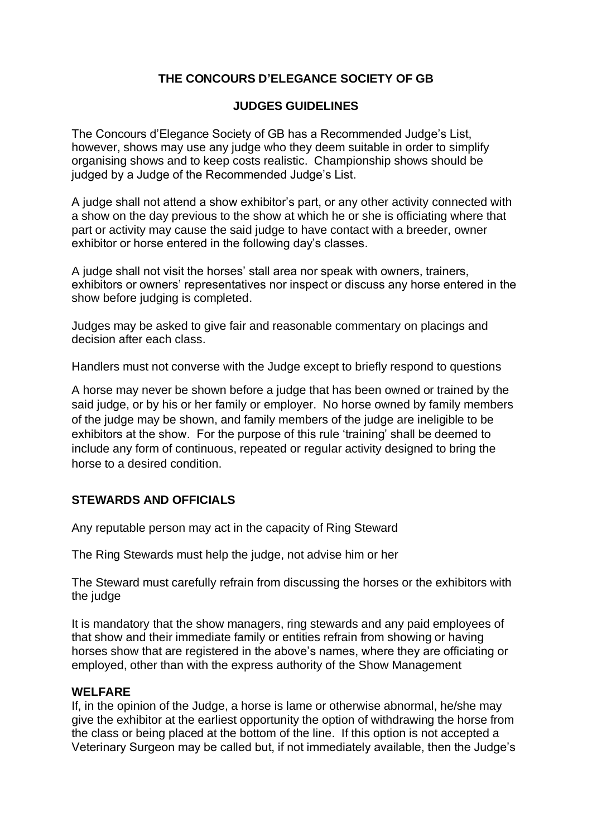# **THE CONCOURS D'ELEGANCE SOCIETY OF GB**

### **JUDGES GUIDELINES**

The Concours d'Elegance Society of GB has a Recommended Judge's List, however, shows may use any judge who they deem suitable in order to simplify organising shows and to keep costs realistic. Championship shows should be judged by a Judge of the Recommended Judge's List.

A judge shall not attend a show exhibitor's part, or any other activity connected with a show on the day previous to the show at which he or she is officiating where that part or activity may cause the said judge to have contact with a breeder, owner exhibitor or horse entered in the following day's classes.

A judge shall not visit the horses' stall area nor speak with owners, trainers, exhibitors or owners' representatives nor inspect or discuss any horse entered in the show before judging is completed.

Judges may be asked to give fair and reasonable commentary on placings and decision after each class.

Handlers must not converse with the Judge except to briefly respond to questions

A horse may never be shown before a judge that has been owned or trained by the said judge, or by his or her family or employer. No horse owned by family members of the judge may be shown, and family members of the judge are ineligible to be exhibitors at the show. For the purpose of this rule 'training' shall be deemed to include any form of continuous, repeated or regular activity designed to bring the horse to a desired condition.

# **STEWARDS AND OFFICIALS**

Any reputable person may act in the capacity of Ring Steward

The Ring Stewards must help the judge, not advise him or her

The Steward must carefully refrain from discussing the horses or the exhibitors with the judge

It is mandatory that the show managers, ring stewards and any paid employees of that show and their immediate family or entities refrain from showing or having horses show that are registered in the above's names, where they are officiating or employed, other than with the express authority of the Show Management

#### **WELFARE**

If, in the opinion of the Judge, a horse is lame or otherwise abnormal, he/she may give the exhibitor at the earliest opportunity the option of withdrawing the horse from the class or being placed at the bottom of the line. If this option is not accepted a Veterinary Surgeon may be called but, if not immediately available, then the Judge's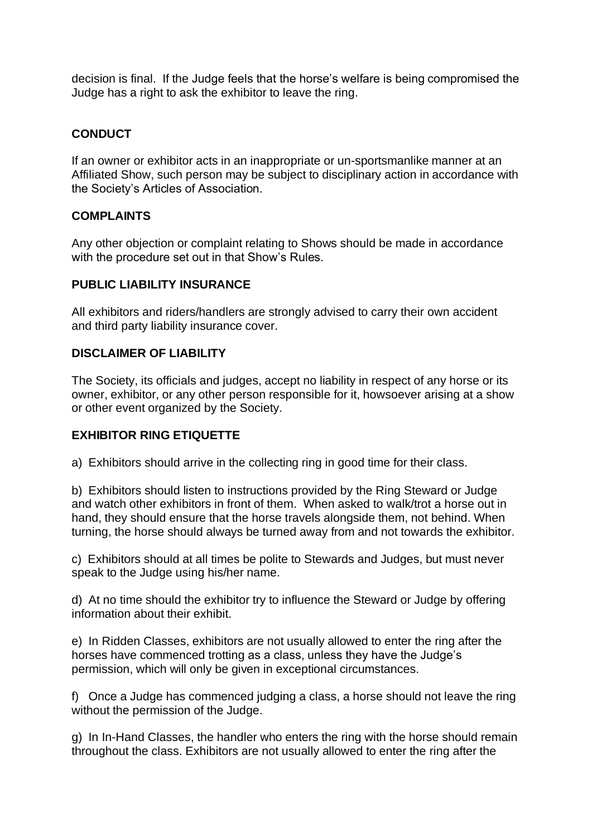decision is final. If the Judge feels that the horse's welfare is being compromised the Judge has a right to ask the exhibitor to leave the ring.

# **CONDUCT**

If an owner or exhibitor acts in an inappropriate or un-sportsmanlike manner at an Affiliated Show, such person may be subject to disciplinary action in accordance with the Society's Articles of Association.

# **COMPLAINTS**

Any other objection or complaint relating to Shows should be made in accordance with the procedure set out in that Show's Rules.

### **PUBLIC LIABILITY INSURANCE**

All exhibitors and riders/handlers are strongly advised to carry their own accident and third party liability insurance cover.

# **DISCLAIMER OF LIABILITY**

The Society, its officials and judges, accept no liability in respect of any horse or its owner, exhibitor, or any other person responsible for it, howsoever arising at a show or other event organized by the Society.

# **EXHIBITOR RING ETIQUETTE**

a) Exhibitors should arrive in the collecting ring in good time for their class.

b) Exhibitors should listen to instructions provided by the Ring Steward or Judge and watch other exhibitors in front of them. When asked to walk/trot a horse out in hand, they should ensure that the horse travels alongside them, not behind. When turning, the horse should always be turned away from and not towards the exhibitor.

c) Exhibitors should at all times be polite to Stewards and Judges, but must never speak to the Judge using his/her name.

d) At no time should the exhibitor try to influence the Steward or Judge by offering information about their exhibit.

e) In Ridden Classes, exhibitors are not usually allowed to enter the ring after the horses have commenced trotting as a class, unless they have the Judge's permission, which will only be given in exceptional circumstances.

f) Once a Judge has commenced judging a class, a horse should not leave the ring without the permission of the Judge.

g) In In-Hand Classes, the handler who enters the ring with the horse should remain throughout the class. Exhibitors are not usually allowed to enter the ring after the